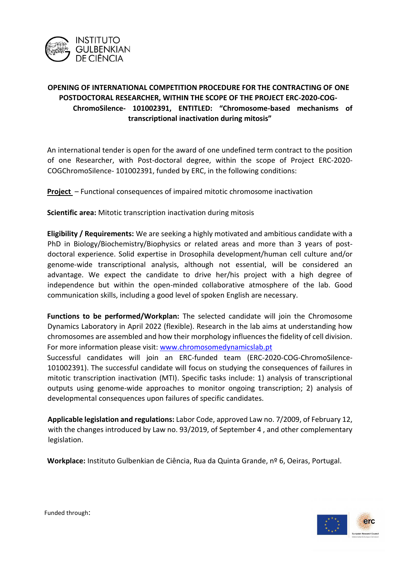

## **OPENING OF INTERNATIONAL COMPETITION PROCEDURE FOR THE CONTRACTING OF ONE POSTDOCTORAL RESEARCHER, WITHIN THE SCOPE OF THE PROJECT ERC-2020-COG-ChromoSilence- 101002391, ENTITLED: "Chromosome-based mechanisms of transcriptional inactivation during mitosis"**

An international tender is open for the award of one undefined term contract to the position of one Researcher, with Post-doctoral degree, within the scope of Project ERC-2020- COGChromoSilence- 101002391, funded by ERC, in the following conditions:

**Project** – Functional consequences of impaired mitotic chromosome inactivation

**Scientific area:** Mitotic transcription inactivation during mitosis

**Eligibility / Requirements:** We are seeking a highly motivated and ambitious candidate with a PhD in Biology/Biochemistry/Biophysics or related areas and more than 3 years of postdoctoral experience. Solid expertise in Drosophila development/human cell culture and/or genome-wide transcriptional analysis, although not essential, will be considered an advantage. We expect the candidate to drive her/his project with a high degree of independence but within the open-minded collaborative atmosphere of the lab. Good communication skills, including a good level of spoken English are necessary.

**Functions to be performed/Workplan:** The selected candidate will join the Chromosome Dynamics Laboratory in April 2022 (flexible). Research in the lab aims at understanding how chromosomes are assembled and how their morphology influences the fidelity of cell division. For more information please visit: [www.chromosomedynamicslab.pt](http://www.chromosomedynamicslab.pt/)

Successful candidates will join an ERC-funded team (ERC-2020-COG-ChromoSilence-101002391). The successful candidate will focus on studying the consequences of failures in mitotic transcription inactivation (MTI). Specific tasks include: 1) analysis of transcriptional outputs using genome-wide approaches to monitor ongoing transcription; 2) analysis of developmental consequences upon failures of specific candidates.

**Applicable legislation and regulations:** Labor Code, approved Law no. 7/2009, of February 12, with the changes introduced by Law no. 93/2019, of September 4 , and other complementary legislation.

**Workplace:** Instituto Gulbenkian de Ciência, Rua da Quinta Grande, nº 6, Oeiras, Portugal.



Funded through: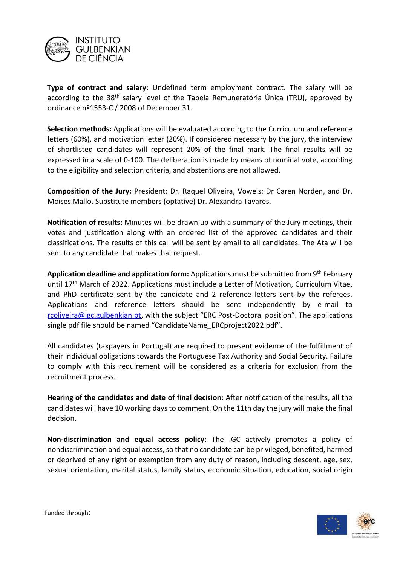

**Type of contract and salary:** Undefined term employment contract. The salary will be according to the 38<sup>th</sup> salary level of the Tabela Remuneratória Única (TRU), approved by ordinance nº1553-C / 2008 of December 31.

**Selection methods:** Applications will be evaluated according to the Curriculum and reference letters (60%), and motivation letter (20%). If considered necessary by the jury, the interview of shortlisted candidates will represent 20% of the final mark. The final results will be expressed in a scale of 0-100. The deliberation is made by means of nominal vote, according to the eligibility and selection criteria, and abstentions are not allowed.

**Composition of the Jury:** President: Dr. Raquel Oliveira, Vowels: Dr Caren Norden, and Dr. Moises Mallo. Substitute members (optative) Dr. Alexandra Tavares.

**Notification of results:** Minutes will be drawn up with a summary of the Jury meetings, their votes and justification along with an ordered list of the approved candidates and their classifications. The results of this call will be sent by email to all candidates. The Ata will be sent to any candidate that makes that request.

Application deadline and application form: Applications must be submitted from 9<sup>th</sup> February until 17<sup>th</sup> March of 2022. Applications must include a Letter of Motivation, Curriculum Vitae, and PhD certificate sent by the candidate and 2 reference letters sent by the referees. Applications and reference letters should be sent independently by e-mail to rcoliveira@igc.gulbenkian.pt, with the subject "ERC Post-Doctoral position". The applications single pdf file should be named "CandidateName\_ERCproject2022.pdf".

All candidates (taxpayers in Portugal) are required to present evidence of the fulfillment of their individual obligations towards the Portuguese Tax Authority and Social Security. Failure to comply with this requirement will be considered as a criteria for exclusion from the recruitment process.

**Hearing of the candidates and date of final decision:** After notification of the results, all the candidates will have 10 working days to comment. On the 11th day the jury will make the final decision.

**Non-discrimination and equal access policy:** The IGC actively promotes a policy of nondiscrimination and equal access, so that no candidate can be privileged, benefited, harmed or deprived of any right or exemption from any duty of reason, including descent, age, sex, sexual orientation, marital status, family status, economic situation, education, social origin